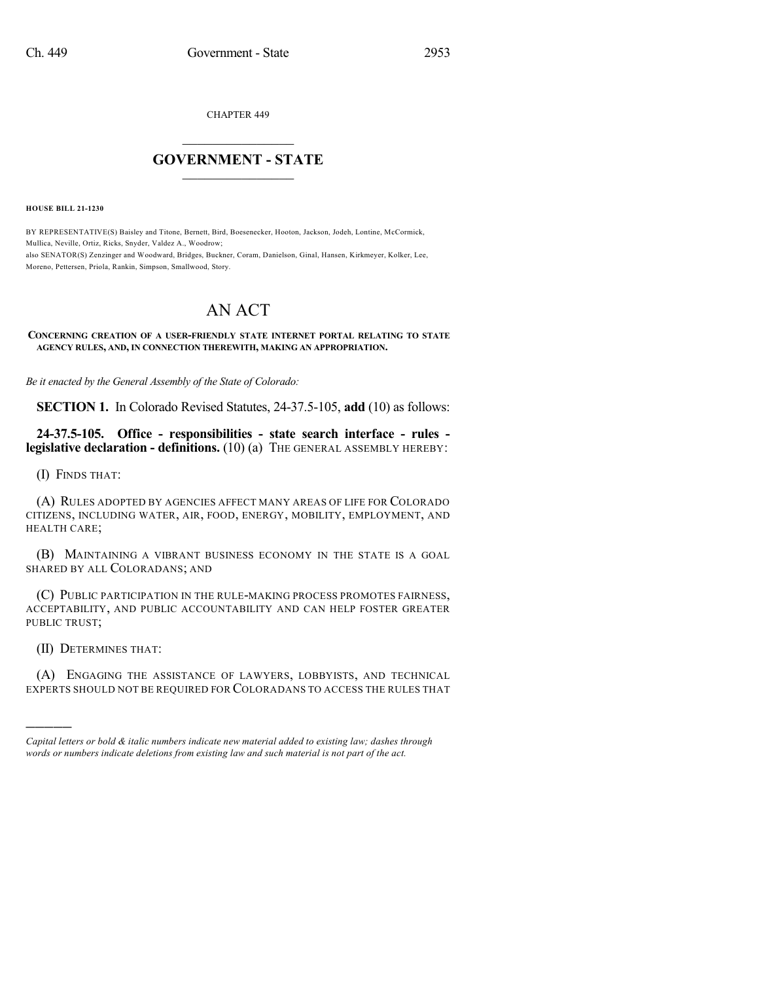CHAPTER 449

## $\mathcal{L}_\text{max}$  . The set of the set of the set of the set of the set of the set of the set of the set of the set of the set of the set of the set of the set of the set of the set of the set of the set of the set of the set **GOVERNMENT - STATE**  $\_$   $\_$   $\_$   $\_$   $\_$   $\_$   $\_$   $\_$   $\_$

**HOUSE BILL 21-1230**

BY REPRESENTATIVE(S) Baisley and Titone, Bernett, Bird, Boesenecker, Hooton, Jackson, Jodeh, Lontine, McCormick, Mullica, Neville, Ortiz, Ricks, Snyder, Valdez A., Woodrow; also SENATOR(S) Zenzinger and Woodward, Bridges, Buckner, Coram, Danielson, Ginal, Hansen, Kirkmeyer, Kolker, Lee, Moreno, Pettersen, Priola, Rankin, Simpson, Smallwood, Story.

## AN ACT

## **CONCERNING CREATION OF A USER-FRIENDLY STATE INTERNET PORTAL RELATING TO STATE AGENCY RULES, AND, IN CONNECTION THEREWITH, MAKING AN APPROPRIATION.**

*Be it enacted by the General Assembly of the State of Colorado:*

**SECTION 1.** In Colorado Revised Statutes, 24-37.5-105, **add** (10) as follows:

**24-37.5-105. Office - responsibilities - state search interface - rules legislative declaration - definitions.** (10) (a) THE GENERAL ASSEMBLY HEREBY:

(I) FINDS THAT:

(A) RULES ADOPTED BY AGENCIES AFFECT MANY AREAS OF LIFE FOR COLORADO CITIZENS, INCLUDING WATER, AIR, FOOD, ENERGY, MOBILITY, EMPLOYMENT, AND HEALTH CARE;

(B) MAINTAINING A VIBRANT BUSINESS ECONOMY IN THE STATE IS A GOAL SHARED BY ALL COLORADANS; AND

(C) PUBLIC PARTICIPATION IN THE RULE-MAKING PROCESS PROMOTES FAIRNESS, ACCEPTABILITY, AND PUBLIC ACCOUNTABILITY AND CAN HELP FOSTER GREATER PUBLIC TRUST;

(II) DETERMINES THAT:

)))))

(A) ENGAGING THE ASSISTANCE OF LAWYERS, LOBBYISTS, AND TECHNICAL EXPERTS SHOULD NOT BE REQUIRED FOR COLORADANS TO ACCESS THE RULES THAT

*Capital letters or bold & italic numbers indicate new material added to existing law; dashes through words or numbers indicate deletions from existing law and such material is not part of the act.*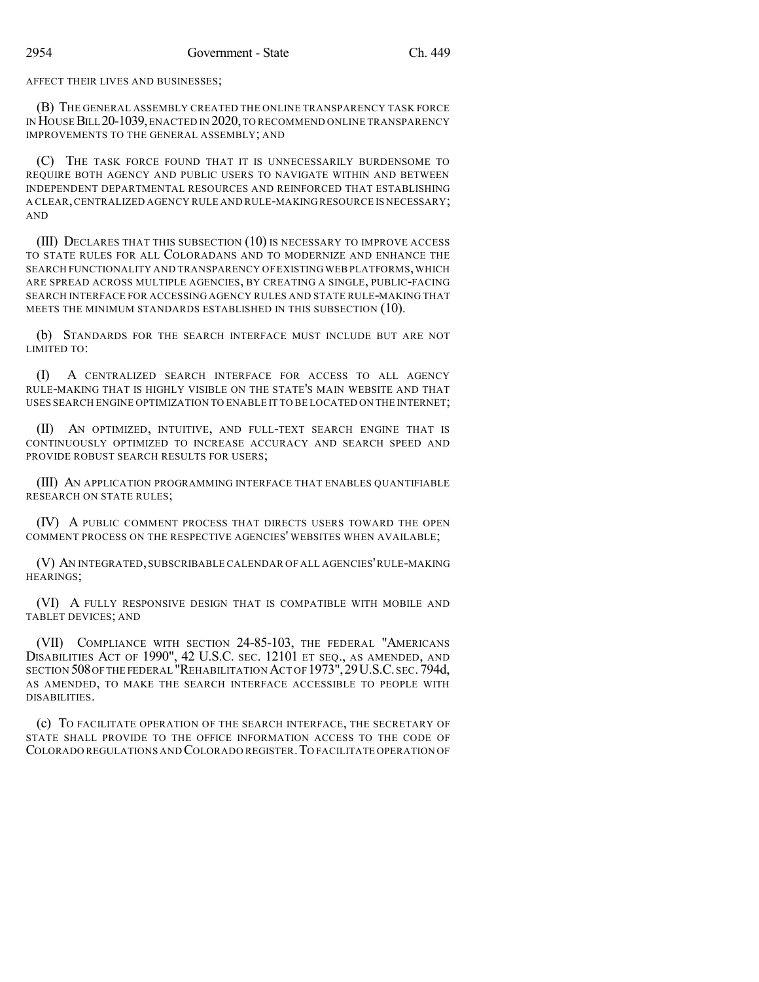AFFECT THEIR LIVES AND BUSINESSES;

(B) THE GENERAL ASSEMBLY CREATED THE ONLINE TRANSPARENCY TASK FORCE IN HOUSEBILL 20-1039,ENACTED IN 2020,TO RECOMMEND ONLINE TRANSPARENCY IMPROVEMENTS TO THE GENERAL ASSEMBLY; AND

(C) THE TASK FORCE FOUND THAT IT IS UNNECESSARILY BURDENSOME TO REQUIRE BOTH AGENCY AND PUBLIC USERS TO NAVIGATE WITHIN AND BETWEEN INDEPENDENT DEPARTMENTAL RESOURCES AND REINFORCED THAT ESTABLISHING A CLEAR,CENTRALIZED AGENCY RULE AND RULE-MAKING RESOURCE IS NECESSARY; AND

(III) DECLARES THAT THIS SUBSECTION (10) IS NECESSARY TO IMPROVE ACCESS TO STATE RULES FOR ALL COLORADANS AND TO MODERNIZE AND ENHANCE THE SEARCH FUNCTIONALITY AND TRANSPARENCY OF EXISTING WEB PLATFORMS, WHICH ARE SPREAD ACROSS MULTIPLE AGENCIES, BY CREATING A SINGLE, PUBLIC-FACING SEARCH INTERFACE FOR ACCESSING AGENCY RULES AND STATE RULE-MAKING THAT MEETS THE MINIMUM STANDARDS ESTABLISHED IN THIS SUBSECTION (10).

(b) STANDARDS FOR THE SEARCH INTERFACE MUST INCLUDE BUT ARE NOT LIMITED TO:

(I) A CENTRALIZED SEARCH INTERFACE FOR ACCESS TO ALL AGENCY RULE-MAKING THAT IS HIGHLY VISIBLE ON THE STATE'S MAIN WEBSITE AND THAT USES SEARCH ENGINE OPTIMIZATION TO ENABLE IT TO BE LOCATED ON THE INTERNET;

(II) AN OPTIMIZED, INTUITIVE, AND FULL-TEXT SEARCH ENGINE THAT IS CONTINUOUSLY OPTIMIZED TO INCREASE ACCURACY AND SEARCH SPEED AND PROVIDE ROBUST SEARCH RESULTS FOR USERS;

(III) AN APPLICATION PROGRAMMING INTERFACE THAT ENABLES QUANTIFIABLE RESEARCH ON STATE RULES;

(IV) A PUBLIC COMMENT PROCESS THAT DIRECTS USERS TOWARD THE OPEN COMMENT PROCESS ON THE RESPECTIVE AGENCIES' WEBSITES WHEN AVAILABLE;

(V) AN INTEGRATED, SUBSCRIBABLE CALENDAR OF ALL AGENCIES'RULE-MAKING HEARINGS;

(VI) A FULLY RESPONSIVE DESIGN THAT IS COMPATIBLE WITH MOBILE AND TABLET DEVICES; AND

(VII) COMPLIANCE WITH SECTION 24-85-103, THE FEDERAL "AMERICANS DISABILITIES ACT OF 1990", 42 U.S.C. SEC. 12101 ET SEQ., AS AMENDED, AND SECTION 508 OF THE FEDERAL "REHABILITATION ACT OF 1973", 29 U.S.C. SEC. 794d, AS AMENDED, TO MAKE THE SEARCH INTERFACE ACCESSIBLE TO PEOPLE WITH DISABILITIES.

(c) TO FACILITATE OPERATION OF THE SEARCH INTERFACE, THE SECRETARY OF STATE SHALL PROVIDE TO THE OFFICE INFORMATION ACCESS TO THE CODE OF COLORADO REGULATIONS AND COLORADO REGISTER.TO FACILITATE OPERATION OF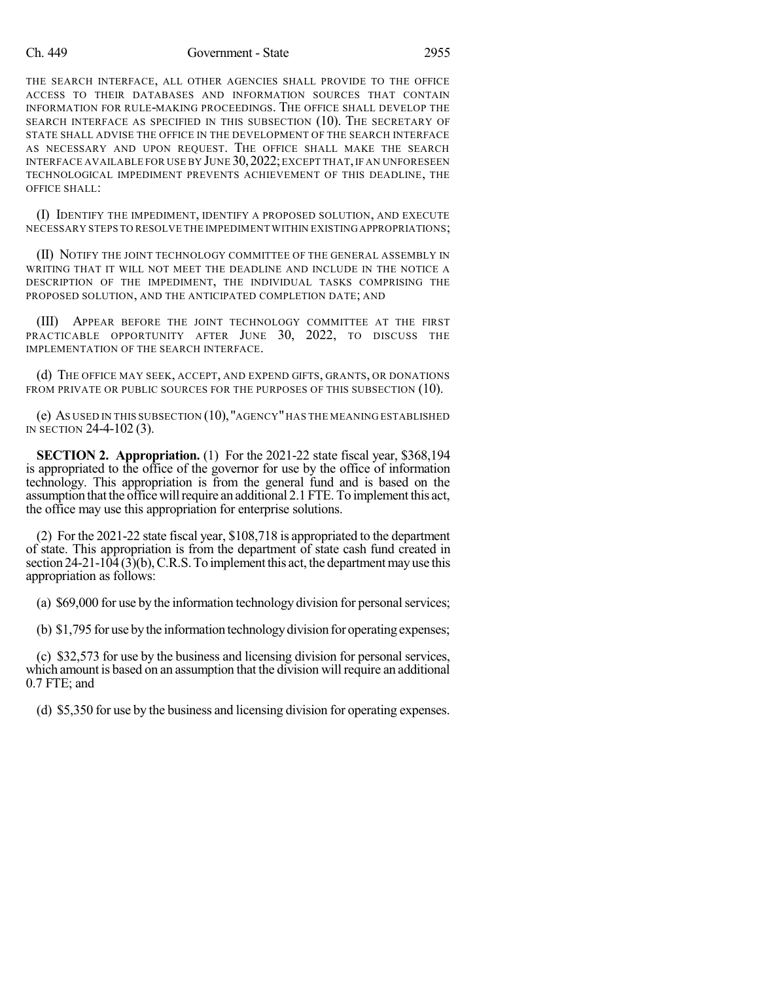## Ch. 449 Government - State 2955

THE SEARCH INTERFACE, ALL OTHER AGENCIES SHALL PROVIDE TO THE OFFICE ACCESS TO THEIR DATABASES AND INFORMATION SOURCES THAT CONTAIN INFORMATION FOR RULE-MAKING PROCEEDINGS. THE OFFICE SHALL DEVELOP THE SEARCH INTERFACE AS SPECIFIED IN THIS SUBSECTION (10). THE SECRETARY OF STATE SHALL ADVISE THE OFFICE IN THE DEVELOPMENT OF THE SEARCH INTERFACE AS NECESSARY AND UPON REQUEST. THE OFFICE SHALL MAKE THE SEARCH INTERFACE AVAILABLE FOR USE BY JUNE 30, 2022; EXCEPT THAT, IF AN UNFORESEEN TECHNOLOGICAL IMPEDIMENT PREVENTS ACHIEVEMENT OF THIS DEADLINE, THE OFFICE SHALL:

(I) IDENTIFY THE IMPEDIMENT, IDENTIFY A PROPOSED SOLUTION, AND EXECUTE NECESSARY STEPS TO RESOLVE THE IMPEDIMENT WITHIN EXISTINGAPPROPRIATIONS;

(II) NOTIFY THE JOINT TECHNOLOGY COMMITTEE OF THE GENERAL ASSEMBLY IN WRITING THAT IT WILL NOT MEET THE DEADLINE AND INCLUDE IN THE NOTICE A DESCRIPTION OF THE IMPEDIMENT, THE INDIVIDUAL TASKS COMPRISING THE PROPOSED SOLUTION, AND THE ANTICIPATED COMPLETION DATE; AND

(III) APPEAR BEFORE THE JOINT TECHNOLOGY COMMITTEE AT THE FIRST PRACTICABLE OPPORTUNITY AFTER JUNE 30, 2022, TO DISCUSS THE IMPLEMENTATION OF THE SEARCH INTERFACE.

(d) THE OFFICE MAY SEEK, ACCEPT, AND EXPEND GIFTS, GRANTS, OR DONATIONS FROM PRIVATE OR PUBLIC SOURCES FOR THE PURPOSES OF THIS SUBSECTION (10).

(e) AS USED IN THIS SUBSECTION (10),"AGENCY"HAS THE MEANING ESTABLISHED IN SECTION 24-4-102 (3).

**SECTION 2. Appropriation.** (1) For the 2021-22 state fiscal year, \$368,194 is appropriated to the office of the governor for use by the office of information technology. This appropriation is from the general fund and is based on the assumption that the office will require an additional 2.1 FTE. To implement this act, the office may use this appropriation for enterprise solutions.

(2) For the 2021-22 state fiscal year, \$108,718 is appropriated to the department of state. This appropriation is from the department of state cash fund created in section 24-21-104 (3)(b), C.R.S. To implement this act, the department may use this appropriation as follows:

(a) \$69,000 for use by the information technology division for personal services;

(b) \$1,795 for use bythe information technologydivision for operating expenses;

(c) \$32,573 for use by the business and licensing division for personal services, which amount is based on an assumption that the division will require an additional 0.7 FTE; and

(d) \$5,350 for use by the business and licensing division for operating expenses.